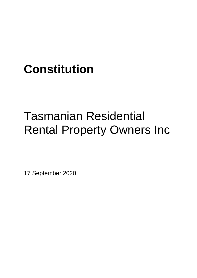## **Constitution**

# Tasmanian Residential Rental Property Owners Inc

17 September 2020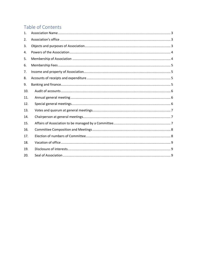### Table of Contents

| 1.  |  |
|-----|--|
| 2.  |  |
| 3.  |  |
| 4.  |  |
| 5.  |  |
| 6.  |  |
| 7.  |  |
| 8.  |  |
| 9.  |  |
| 10. |  |
| 11. |  |
| 12. |  |
| 13. |  |
| 14. |  |
| 15. |  |
| 16. |  |
| 17. |  |
| 18. |  |
| 19. |  |
| 20. |  |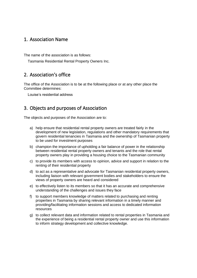#### <span id="page-2-0"></span>1. Association Name

The name of the association is as follows:

<span id="page-2-1"></span>Tasmania Residential Rental Property Owners Inc.

#### 2. Association's office

The office of the Association is to be at the following place or at any other place the Committee determines:

<span id="page-2-2"></span>Louise's residential address

#### 3. Objects and purposes of Association

The objects and purposes of the Association are to:

- a) help ensure that residential rental property owners are treated fairly in the development of new legislation, regulations and other mandatory requirements that govern residential tenancies in Tasmania and the ownership of Tasmanian property to be used for investment purposes
- b) champion the importance of upholding a fair balance of power in the relationship between residential rental property owners and tenants and the role that rental property owners play in providing a housing choice to the Tasmanian community
- c) to provide its members with access to opinion, advice and support in relation to the renting of their residential property
- d) to act as a representative and advocate for Tasmanian residential property owners, including liaison with relevant government bodies and stakeholders to ensure the views of property owners are heard and considered
- e) to effectively listen to its members so that it has an accurate and comprehensive understanding of the challenges and issues they face
- f) to support members knowledge of matters related to purchasing and renting properties in Tasmania by sharing relevant information in a timely manner and providing/facilitating information sessions and access to dedicated information resources
- g) to collect relevant data and information related to rental properties in Tasmania and the experience of being a residential rental property owner and use this information to inform strategy development and collective knowledge.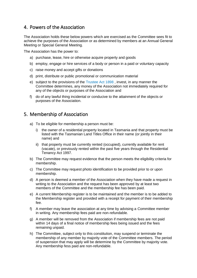#### <span id="page-3-0"></span>4. Powers of the Association

The Association holds these below powers which are exercised as the Committee sees fit to achieve the purposes of the Association or as determined by members at an Annual General Meeting or Special General Meeting.

The Association has the power to:

- a) purchase, lease, hire or otherwise acquire property and goods
- b) employ, engage or hire services of a body or person in a paid or voluntary capacity
- c) raise money and accept gifts or donations
- d) print, distribute or public promotional or communication material
- e) subject to the provisions of the [Trustee Act 1898](https://www.legislation.tas.gov.au/view/html/inforce/current/act-1898-034) , invest, in any manner the Committee determines, any money of the Association not immediately required for any of the objects or purposes of the Association and
- f) do of any lawful thing incidental or conducive to the attainment of the objects or purposes of the Association.

#### <span id="page-3-1"></span>5. Membership of Association

- a) To be eligible for membership a person must be:
	- i) the owner of a residential property located in Tasmania and that property must be listed with the Tasmanian Land Titles Office in their name (or jointly in their name) and
	- ii) that property must be currently rented (occupied), currently available for rent (vacate), or previously rented within the past five years through the Residential Tenancy Act 1997.
- b) The Committee may request evidence that the person meets the eligibility criteria for membership.
- c) The Committee may request photo identification to be provided prior to or upon membership.
- d) A person is deemed a member of the Association when they have made a request in writing to the Association and the request has been approved by at least two members of the Committee and the membership fee has been paid.
- e) A current Membership register is to be maintained and the member is to be added to the Membership register and provided with a receipt for payment of their membership fee.
- f) A member may leave the association at any time by advising a Committee member in writing. Any membership fees paid are non-refundable.
- g) A member will be removed from the Association if membership fees are not paid within 14 days of a final notice of membership fees being issued and the fees remaining unpaid.
- h) The Committee, subject only to this constitution, may suspend or terminate the membership of any member by majority vote of the Committee members. The period of suspension that may apply will be determine by the Committee by majority vote. Any membership fess paid are non-refundable.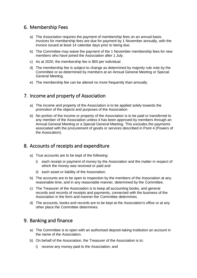#### <span id="page-4-0"></span>6. Membership Fees

- a) The Association requires the payment of membership fees on an annual basis. Invoices for membership fees are due for payment by 1 November annually, with the invoice issued at least 14 calendar days prior to being due.
- b) The Committee may waive the payment of the 1 November membership fees for new members who have joined the Association after 1 July.
- c) As at 2020, the membership fee is \$50 per individual.
- d) The membership fee is subject to change as determined by majority rule vote by the Committee or as determined by members at an Annual General Meeting or Special General Meeting.
- e) The membership fee can be altered no more frequently than annually.

#### <span id="page-4-1"></span>7. Income and property of Association

- a) The income and property of the Association is to be applied solely towards the promotion of the objects and purposes of the Association.
- b) No portion of the income or property of the Association is to be paid or transferred to any member of the Association unless it has been approved by members through an Annual General Meeting or a Special General Meeting. This excludes the payments associated with the procurement of goods or services described in Point 4 (Powers of the Assocation).

#### <span id="page-4-2"></span>8. Accounts of receipts and expenditure

- a) True accounts are to be kept of the following:
	- i) each receipt or payment of money by the Association and the matter in respect of which the money was received or paid and
	- ii) each asset or liability of the Association.
- b) The accounts are to be open to inspection by the members of the Association at any reasonable time, and in any reasonable manner, determined by the Committee.
- c) The Treasurer of the Association is to keep all accounting books, and general records and records of receipts and payments, connected with the business of the Association in the form and manner the Committee determines.
- d) The accounts, books and records are to be kept at the Association's office or at any other place the Committee determines.

#### <span id="page-4-3"></span>9. Banking and finance

- a) The Committee is to open with an authorised deposit-taking institution an account in the name of the Association.
- b) On behalf of the Association, the Treasurer of the Association is to:
	- i) receive any money paid to the Association; and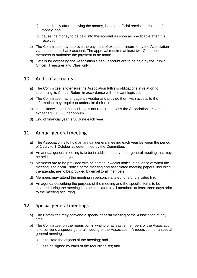- ii) immediately after receiving the money, issue an official receipt in respect of the money; and
- iii) cause the money to be paid into the account as soon as practicable after it is received.
- c) The Committee may approve the payment of expenses incurred by the Association via debit from its bank account. The approval requires at least two Committee members to authorise the payment to be made.
- d) Details for accessing the Association's bank account are to be held by the Public Officer, Treasurer and Chair only.

#### <span id="page-5-0"></span>10. Audit of accounts

- a) The Committee is to ensure the Association fulfils is obligations in relation to submitting its Annual Return in accordance with relevant legislation.
- b) The Committee may engage an Auditor and provide them with access to the information they require to undertake their role.
- c) It is acknowledged that auditing is not required unless the Association's revenue exceeds \$250,000 per annum.
- d) End of financial year is 30 June each year.

#### <span id="page-5-1"></span>11. Annual general meeting

- a) The Association is to hold an annual general meeting each year between the period of 1 July to 1 October as determined by the Committee.
- b) An annual general meeting is to be in addition to any other general meeting that may be held in the same year.
- c) Members are to be provided with at least four weeks notice in advance of when the meeting is to occur. Notice of the meeting and associated meeting papers, including the agenda, are to be provided by email to all members.
- d) Members may attend the meeting in person, via telephone or via video link.
- e) An agenda describing the purpose of the meeting and the specific items to be covered during the meeting it to be circulated to all members at least three days prior to the meeting occurring.

#### <span id="page-5-2"></span>12. Special general meetings

- a) The Committee may convene a special general meeting of the Association at any time.
- b) The Committee, on the requisition in writing of at least 8 members of the Association, is to convene a special general meeting of the Association. A requisition for a special general meeting –
	- i) is to state the objects of the meeting; and
	- ii) is to be signed by each of the requisitionists; and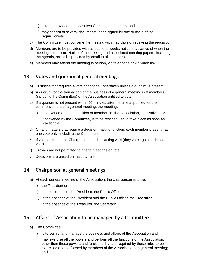- iii) is to be provided to at least two Committee members; and
- iv) may consist of several documents, each signed by one or more of the requisitionists.
- c) The Committee must convene the meeting within 28 days of receiving the requisition.
- d) Members are to be provided with at least one weeks notice in advance of when the meeting is to occur. Notice of the meeting and associated meeting papers, including the agenda, are to be provided by email to all members.
- e) Members may attend the meeting in person, via telephone or via video link.

#### <span id="page-6-0"></span>13. Votes and quorum at general meetings

- a) Business that requires a vote cannot be undertaken unless a quorum is present.
- b) A quorum for the transaction of the business of a general meeting is 8 members (including the Committee) of the Association entitled to vote.
- c) If a quorum is not present within 60 minutes after the time appointed for the commencement of a general meeting, the meeting:
	- i) if convened on the requisition of members of the Association, is dissolved; or
	- ii) if convened by the Committee, is to be rescheduled to take place as soon as practicable.
- d) On any matters that require a decision-making function, each member present has one vote only, including the Committee.
- e) If votes are tied, the Chairperson has the casting vote (they vote again to decide the vote).
- f) Proxies are not permitted to attend meetings or vote.
- g) Decisions are based on majority rule.

#### <span id="page-6-1"></span>14. Chairperson at general meetings

- a) At each general meeting of the Association, the chairperson is to be:
	- i) the President or
	- ii) in the absence of the President, the Public Officer or
	- iii) in the absence of the President and the Public Officer, the Treasurer
	- iv) in the absence of the Treasurer, the Secretary.

#### <span id="page-6-2"></span>15. Affairs of Association to be managed by a Committee

- a) The Committee:
	- i) is to control and manage the business and affairs of the Association and
	- ii) may exercise all the powers and perform all the functions of the Association, other than those powers and functions that are required by these rules to be exercised and performed by members of the Association at a general meeting; and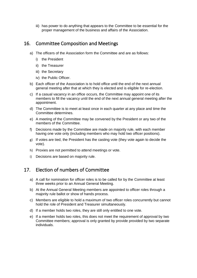iii) has power to do anything that appears to the Committee to be essential for the proper management of the business and affairs of the Association.

#### <span id="page-7-0"></span>16. Committee Composition and Meetings

- a) The officers of the Association form the Committee and are as follows:
	- i) the President
	- ii) the Treasurer
	- iii) the Secretary
	- iv) the Public Officer.
- b) Each officer of the Association is to hold office until the end of the next annual general meeting after that at which they is elected and is eligible for re-election.
- c) If a casual vacancy in an office occurs, the Committee may appoint one of its members to fill the vacancy until the end of the next annual general meeting after the appointment.
- d) The Committee is to meet at least once in each quarter at any place and time the Committee determines.
- e) A meeting of the Committee may be convened by the President or any two of the members of the Committee.
- f) Decisions made by the Committee are made on majority rule, with each member having one vote only (including members who may hold two officer positions).
- g) If votes are tied, the President has the casting vote (they vote again to decide the vote).
- h) Proxies are not permitted to attend meetings or vote.
- i) Decisions are based on majority rule.

### <span id="page-7-1"></span>17. Election of numbers of Committee

- a) A call for nomination for officer roles is to be called for by the Committee at least three weeks prior to an Annual General Meeting.
- b) At the Annual General Meeting members are appointed to officer roles through a majority rule ballot or show of hands process.
- c) Members are eligible to hold a maximum of two officer roles concurrently but cannot hold the role of President and Treasurer simultaneously.
- d) If a member holds two roles, they are still only entitled to one vote.
- e) If a member holds two roles, this does not meet the requirement of approval by two Committee members; approval is only granted by provide provided by two separate individuals.